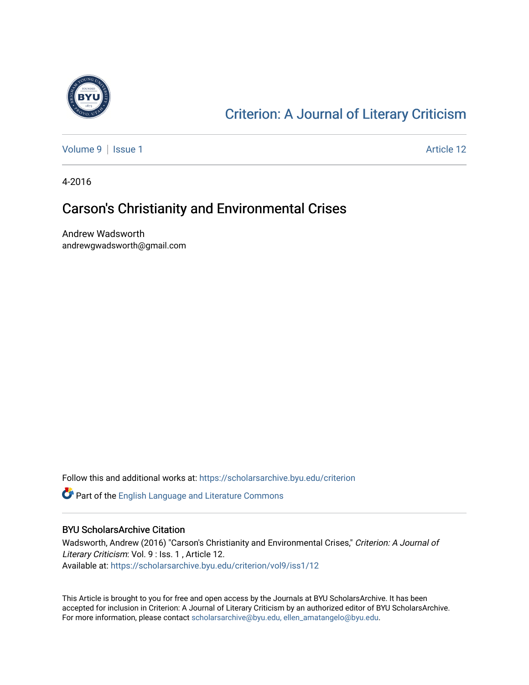

### [Criterion: A Journal of Literary Criticism](https://scholarsarchive.byu.edu/criterion)

[Volume 9](https://scholarsarchive.byu.edu/criterion/vol9) | [Issue 1](https://scholarsarchive.byu.edu/criterion/vol9/iss1) Article 12

4-2016

### Carson's Christianity and Environmental Crises

Andrew Wadsworth andrewgwadsworth@gmail.com

Follow this and additional works at: [https://scholarsarchive.byu.edu/criterion](https://scholarsarchive.byu.edu/criterion?utm_source=scholarsarchive.byu.edu%2Fcriterion%2Fvol9%2Fiss1%2F12&utm_medium=PDF&utm_campaign=PDFCoverPages) 

Part of the [English Language and Literature Commons](http://network.bepress.com/hgg/discipline/455?utm_source=scholarsarchive.byu.edu%2Fcriterion%2Fvol9%2Fiss1%2F12&utm_medium=PDF&utm_campaign=PDFCoverPages)

#### BYU ScholarsArchive Citation

Wadsworth, Andrew (2016) "Carson's Christianity and Environmental Crises," Criterion: A Journal of Literary Criticism: Vol. 9 : Iss. 1 , Article 12. Available at: [https://scholarsarchive.byu.edu/criterion/vol9/iss1/12](https://scholarsarchive.byu.edu/criterion/vol9/iss1/12?utm_source=scholarsarchive.byu.edu%2Fcriterion%2Fvol9%2Fiss1%2F12&utm_medium=PDF&utm_campaign=PDFCoverPages)

This Article is brought to you for free and open access by the Journals at BYU ScholarsArchive. It has been accepted for inclusion in Criterion: A Journal of Literary Criticism by an authorized editor of BYU ScholarsArchive. For more information, please contact [scholarsarchive@byu.edu, ellen\\_amatangelo@byu.edu](mailto:scholarsarchive@byu.edu,%20ellen_amatangelo@byu.edu).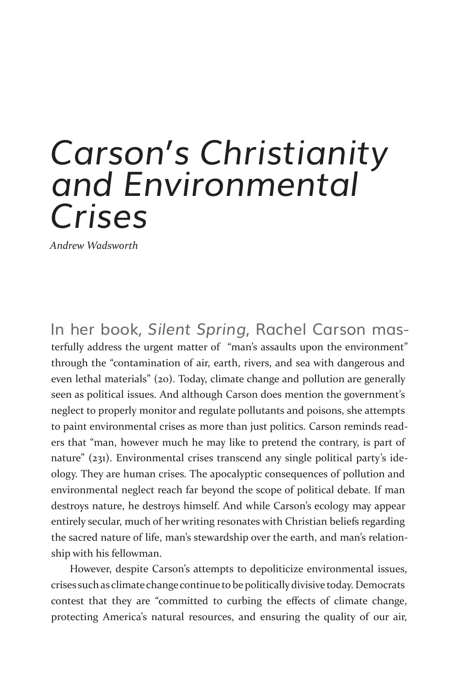## *Carson's Christianity and Environmental Crises*

*Andrew Wadsworth*

In her book, *Silent Spring*, Rachel Carson mas terfully address the urgent matter of "man's assaults upon the environment" through the "contamination of air, earth, rivers, and sea with dangerous and even lethal materials" (20). Today, climate change and pollution are generally seen as political issues. And although Carson does mention the government's neglect to properly monitor and regulate pollutants and poisons, she attempts to paint environmental crises as more than just politics. Carson reminds readers that "man, however much he may like to pretend the contrary, is part of nature" (231). Environmental crises transcend any single political party's ideology. They are human crises. The apocalyptic consequences of pollution and environmental neglect reach far beyond the scope of political debate. If man destroys nature, he destroys himself. And while Carson's ecology may appear entirely secular, much of her writing resonates with Christian beliefs regarding the sacred nature of life, man's stewardship over the earth, and man's relationship with his fellowman.

However, despite Carson's attempts to depoliticize environmental issues, crises such as climate change continue to be politically divisive today. Democrats contest that they are "committed to curbing the effects of climate change, protecting America's natural resources, and ensuring the quality of our air,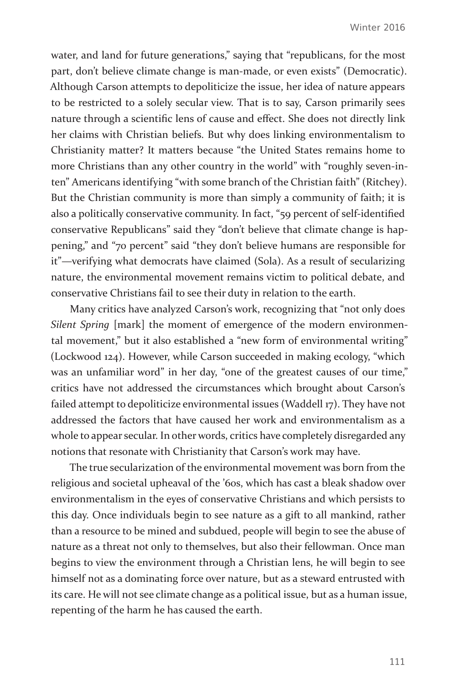water, and land for future generations," saying that "republicans, for the most part, don't believe climate change is man-made, or even exists" (Democratic). Although Carson attempts to depoliticize the issue, her idea of nature appears to be restricted to a solely secular view. That is to say, Carson primarily sees nature through a scientific lens of cause and effect. She does not directly link her claims with Christian beliefs. But why does linking environmentalism to Christianity matter? It matters because "the United States remains home to more Christians than any other country in the world" with "roughly seven-inten" Americans identifying "with some branch of the Christian faith" (Ritchey). But the Christian community is more than simply a community of faith; it is also a politically conservative community. In fact, "59 percent of self-identified conservative Republicans" said they "don't believe that climate change is happening," and "70 percent" said "they don't believe humans are responsible for it"—verifying what democrats have claimed (Sola). As a result of secularizing nature, the environmental movement remains victim to political debate, and conservative Christians fail to see their duty in relation to the earth.

Many critics have analyzed Carson's work, recognizing that "not only does *Silent Spring* [mark] the moment of emergence of the modern environmental movement," but it also established a "new form of environmental writing" (Lockwood 124). However, while Carson succeeded in making ecology, "which was an unfamiliar word" in her day, "one of the greatest causes of our time," critics have not addressed the circumstances which brought about Carson's failed attempt to depoliticize environmental issues (Waddell 17). They have not addressed the factors that have caused her work and environmentalism as a whole to appear secular. In other words, critics have completely disregarded any notions that resonate with Christianity that Carson's work may have.

The true secularization of the environmental movement was born from the religious and societal upheaval of the '60s, which has cast a bleak shadow over environmentalism in the eyes of conservative Christians and which persists to this day. Once individuals begin to see nature as a gift to all mankind, rather than a resource to be mined and subdued, people will begin to see the abuse of nature as a threat not only to themselves, but also their fellowman. Once man begins to view the environment through a Christian lens, he will begin to see himself not as a dominating force over nature, but as a steward entrusted with its care. He will not see climate change as a political issue, but as a human issue, repenting of the harm he has caused the earth.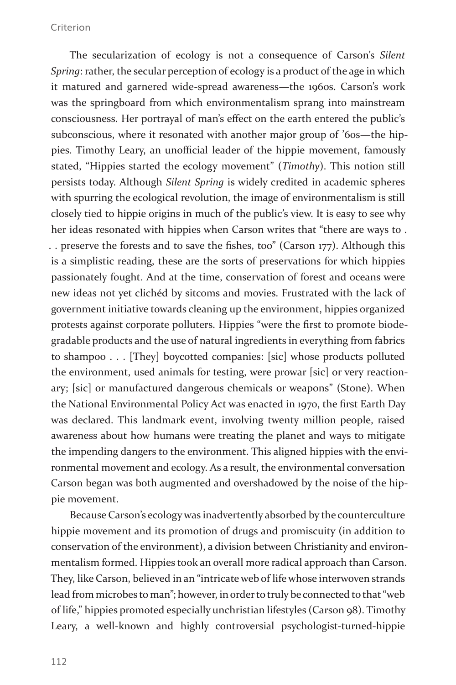#### Criterion

The secularization of ecology is not a consequence of Carson's *Silent Spring*: rather, the secular perception of ecology is a product of the age in which it matured and garnered wide-spread awareness—the 1960s. Carson's work was the springboard from which environmentalism sprang into mainstream consciousness. Her portrayal of man's effect on the earth entered the public's subconscious, where it resonated with another major group of '60s—the hippies. Timothy Leary, an unofficial leader of the hippie movement, famously stated, "Hippies started the ecology movement" (*Timothy*). This notion still persists today. Although *Silent Spring* is widely credited in academic spheres with spurring the ecological revolution, the image of environmentalism is still closely tied to hippie origins in much of the public's view. It is easy to see why her ideas resonated with hippies when Carson writes that "there are ways to . . . preserve the forests and to save the fishes, too" (Carson 177). Although this is a simplistic reading, these are the sorts of preservations for which hippies passionately fought. And at the time, conservation of forest and oceans were new ideas not yet clichéd by sitcoms and movies. Frustrated with the lack of government initiative towards cleaning up the environment, hippies organized protests against corporate polluters. Hippies "were the first to promote biodegradable products and the use of natural ingredients in everything from fabrics to shampoo . . . [They] boycotted companies: [sic] whose products polluted the environment, used animals for testing, were prowar [sic] or very reactionary; [sic] or manufactured dangerous chemicals or weapons" (Stone). When the National Environmental Policy Act was enacted in 1970, the first Earth Day was declared. This landmark event, involving twenty million people, raised awareness about how humans were treating the planet and ways to mitigate the impending dangers to the environment. This aligned hippies with the environmental movement and ecology. As a result, the environmental conversation Carson began was both augmented and overshadowed by the noise of the hippie movement.

Because Carson's ecology was inadvertently absorbed by the counterculture hippie movement and its promotion of drugs and promiscuity (in addition to conservation of the environment), a division between Christianity and environmentalism formed. Hippies took an overall more radical approach than Carson. They, like Carson, believed in an "intricate web of life whose interwoven strands lead from microbes to man"; however, in order to truly be connected to that "web of life," hippies promoted especially unchristian lifestyles (Carson 98). Timothy Leary, a well-known and highly controversial psychologist-turned-hippie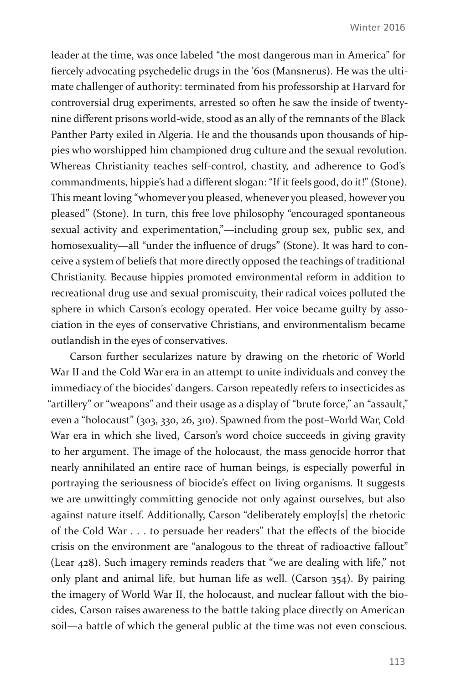leader at the time, was once labeled "the most dangerous man in America" for fiercely advocating psychedelic drugs in the '60s (Mansnerus). He was the ultimate challenger of authority: terminated from his professorship at Harvard for controversial drug experiments, arrested so often he saw the inside of twentynine different prisons world-wide, stood as an ally of the remnants of the Black Panther Party exiled in Algeria. He and the thousands upon thousands of hippies who worshipped him championed drug culture and the sexual revolution. Whereas Christianity teaches self-control, chastity, and adherence to God's commandments, hippie's had a different slogan: "If it feels good, do it!" (Stone). This meant loving "whomever you pleased, whenever you pleased, however you pleased" (Stone). In turn, this free love philosophy "encouraged spontaneous sexual activity and experimentation,"—including group sex, public sex, and homosexuality—all "under the influence of drugs" (Stone). It was hard to conceive a system of beliefs that more directly opposed the teachings of traditional Christianity. Because hippies promoted environmental reform in addition to recreational drug use and sexual promiscuity, their radical voices polluted the sphere in which Carson's ecology operated. Her voice became guilty by association in the eyes of conservative Christians, and environmentalism became outlandish in the eyes of conservatives.

Carson further secularizes nature by drawing on the rhetoric of World War II and the Cold War era in an attempt to unite individuals and convey the immediacy of the biocides' dangers. Carson repeatedly refers to insecticides as "artillery" or "weapons" and their usage as a display of "brute force," an "assault," even a "holocaust" (303, 330, 26, 310). Spawned from the post–World War, Cold War era in which she lived, Carson's word choice succeeds in giving gravity to her argument. The image of the holocaust, the mass genocide horror that nearly annihilated an entire race of human beings, is especially powerful in portraying the seriousness of biocide's effect on living organisms. It suggests we are unwittingly committing genocide not only against ourselves, but also against nature itself. Additionally, Carson "deliberately employ[s] the rhetoric of the Cold War . . . to persuade her readers" that the effects of the biocide crisis on the environment are "analogous to the threat of radioactive fallout" (Lear 428). Such imagery reminds readers that "we are dealing with life," not only plant and animal life, but human life as well. (Carson 354). By pairing the imagery of World War II, the holocaust, and nuclear fallout with the biocides, Carson raises awareness to the battle taking place directly on American soil—a battle of which the general public at the time was not even conscious.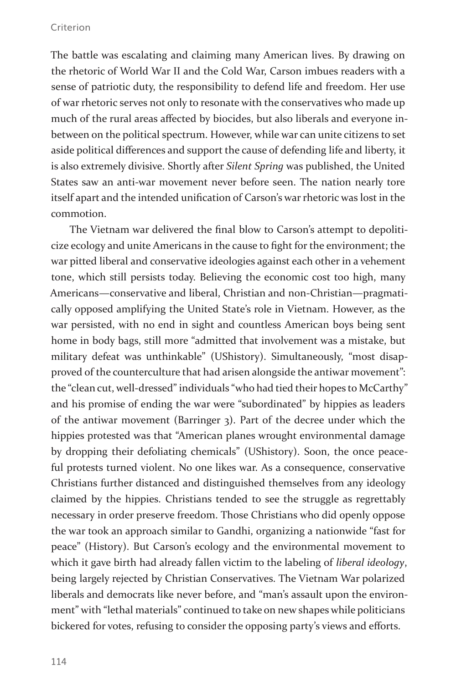#### Criterion

The battle was escalating and claiming many American lives. By drawing on the rhetoric of World War II and the Cold War, Carson imbues readers with a sense of patriotic duty, the responsibility to defend life and freedom. Her use of war rhetoric serves not only to resonate with the conservatives who made up much of the rural areas affected by biocides, but also liberals and everyone inbetween on the political spectrum. However, while war can unite citizens to set aside political differences and support the cause of defending life and liberty, it is also extremely divisive. Shortly after *Silent Spring* was published, the United States saw an anti-war movement never before seen. The nation nearly tore itself apart and the intended unification of Carson's war rhetoric was lost in the commotion.

The Vietnam war delivered the final blow to Carson's attempt to depoliticize ecology and unite Americans in the cause to fight for the environment; the war pitted liberal and conservative ideologies against each other in a vehement tone, which still persists today. Believing the economic cost too high, many Americans—conservative and liberal, Christian and non-Christian—pragmatically opposed amplifying the United State's role in Vietnam. However, as the war persisted, with no end in sight and countless American boys being sent home in body bags, still more "admitted that involvement was a mistake, but military defeat was unthinkable" (UShistory). Simultaneously, "most disapproved of the counterculture that had arisen alongside the antiwar movement": the "clean cut, well-dressed" individuals "who had tied their hopes to McCarthy" and his promise of ending the war were "subordinated" by hippies as leaders of the antiwar movement (Barringer 3). Part of the decree under which the hippies protested was that "American planes wrought environmental damage by dropping their defoliating chemicals" (UShistory). Soon, the once peaceful protests turned violent. No one likes war. As a consequence, conservative Christians further distanced and distinguished themselves from any ideology claimed by the hippies. Christians tended to see the struggle as regrettably necessary in order preserve freedom. Those Christians who did openly oppose the war took an approach similar to Gandhi, organizing a nationwide "fast for peace" (History). But Carson's ecology and the environmental movement to which it gave birth had already fallen victim to the labeling of *liberal ideology*, being largely rejected by Christian Conservatives. The Vietnam War polarized liberals and democrats like never before, and "man's assault upon the environment" with "lethal materials" continued to take on new shapes while politicians bickered for votes, refusing to consider the opposing party's views and efforts.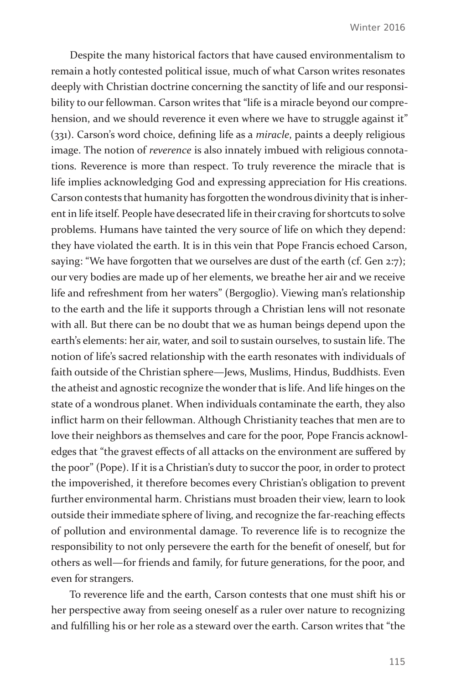Despite the many historical factors that have caused environmentalism to remain a hotly contested political issue, much of what Carson writes resonates deeply with Christian doctrine concerning the sanctity of life and our responsibility to our fellowman. Carson writes that "life is a miracle beyond our comprehension, and we should reverence it even where we have to struggle against it" (331). Carson's word choice, defining life as a *miracle*, paints a deeply religious image. The notion of *reverence* is also innately imbued with religious connotations. Reverence is more than respect. To truly reverence the miracle that is life implies acknowledging God and expressing appreciation for His creations. Carson contests that humanity has forgotten the wondrous divinity that is inherent in life itself. People have desecrated life in their craving for shortcuts to solve problems. Humans have tainted the very source of life on which they depend: they have violated the earth. It is in this vein that Pope Francis echoed Carson, saying: "We have forgotten that we ourselves are dust of the earth (cf. Gen 2:7); our very bodies are made up of her elements, we breathe her air and we receive life and refreshment from her waters" (Bergoglio). Viewing man's relationship to the earth and the life it supports through a Christian lens will not resonate with all. But there can be no doubt that we as human beings depend upon the earth's elements: her air, water, and soil to sustain ourselves, to sustain life. The notion of life's sacred relationship with the earth resonates with individuals of faith outside of the Christian sphere—Jews, Muslims, Hindus, Buddhists. Even the atheist and agnostic recognize the wonder that is life. And life hinges on the state of a wondrous planet. When individuals contaminate the earth, they also inflict harm on their fellowman. Although Christianity teaches that men are to love their neighbors as themselves and care for the poor, Pope Francis acknowledges that "the gravest effects of all attacks on the environment are suffered by the poor" (Pope). If it is a Christian's duty to succor the poor, in order to protect the impoverished, it therefore becomes every Christian's obligation to prevent further environmental harm. Christians must broaden their view, learn to look outside their immediate sphere of living, and recognize the far-reaching effects of pollution and environmental damage. To reverence life is to recognize the responsibility to not only persevere the earth for the benefit of oneself, but for others as well—for friends and family, for future generations, for the poor, and even for strangers.

To reverence life and the earth, Carson contests that one must shift his or her perspective away from seeing oneself as a ruler over nature to recognizing and fulfilling his or her role as a steward over the earth. Carson writes that "the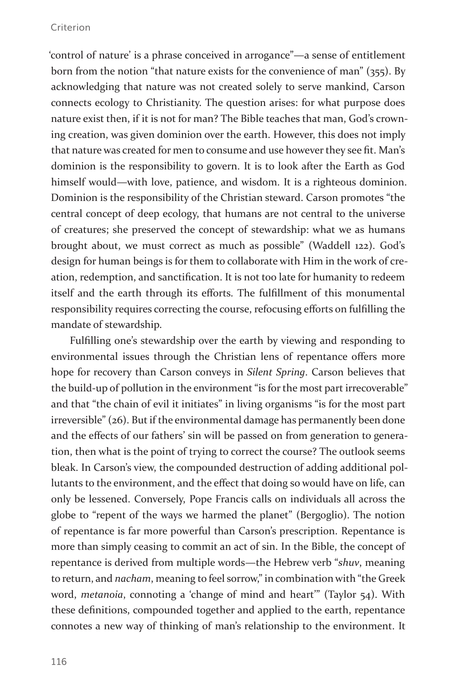#### Criterion

'control of nature' is a phrase conceived in arrogance"—a sense of entitlement born from the notion "that nature exists for the convenience of man" (355). By acknowledging that nature was not created solely to serve mankind, Carson connects ecology to Christianity. The question arises: for what purpose does nature exist then, if it is not for man? The Bible teaches that man, God's crowning creation, was given dominion over the earth. However, this does not imply that nature was created for men to consume and use however they see fit. Man's dominion is the responsibility to govern. It is to look after the Earth as God himself would—with love, patience, and wisdom. It is a righteous dominion. Dominion is the responsibility of the Christian steward. Carson promotes "the central concept of deep ecology, that humans are not central to the universe of creatures; she preserved the concept of stewardship: what we as humans brought about, we must correct as much as possible" (Waddell 122). God's design for human beings is for them to collaborate with Him in the work of creation, redemption, and sanctification. It is not too late for humanity to redeem itself and the earth through its efforts. The fulfillment of this monumental responsibility requires correcting the course, refocusing efforts on fulfilling the mandate of stewardship.

Fulfilling one's stewardship over the earth by viewing and responding to environmental issues through the Christian lens of repentance offers more hope for recovery than Carson conveys in *Silent Spring*. Carson believes that the build-up of pollution in the environment "is for the most part irrecoverable" and that "the chain of evil it initiates" in living organisms "is for the most part irreversible" (26). But if the environmental damage has permanently been done and the effects of our fathers' sin will be passed on from generation to generation, then what is the point of trying to correct the course? The outlook seems bleak. In Carson's view, the compounded destruction of adding additional pollutants to the environment, and the effect that doing so would have on life, can only be lessened. Conversely, Pope Francis calls on individuals all across the globe to "repent of the ways we harmed the planet" (Bergoglio). The notion of repentance is far more powerful than Carson's prescription. Repentance is more than simply ceasing to commit an act of sin. In the Bible, the concept of repentance is derived from multiple words—the Hebrew verb "*shuv*, meaning to return, and *nacham*, meaning to feel sorrow," in combination with "the Greek word, *metanoia*, connoting a 'change of mind and heart'" (Taylor 54). With these definitions, compounded together and applied to the earth, repentance connotes a new way of thinking of man's relationship to the environment. It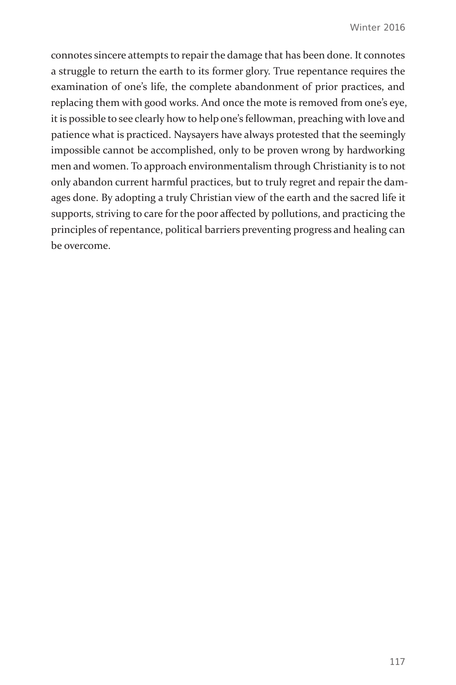connotes sincere attempts to repair the damage that has been done. It connotes a struggle to return the earth to its former glory. True repentance requires the examination of one's life, the complete abandonment of prior practices, and replacing them with good works. And once the mote is removed from one's eye, it is possible to see clearly how to help one's fellowman, preaching with love and patience what is practiced. Naysayers have always protested that the seemingly impossible cannot be accomplished, only to be proven wrong by hardworking men and women. To approach environmentalism through Christianity is to not only abandon current harmful practices, but to truly regret and repair the damages done. By adopting a truly Christian view of the earth and the sacred life it supports, striving to care for the poor affected by pollutions, and practicing the principles of repentance, political barriers preventing progress and healing can be overcome.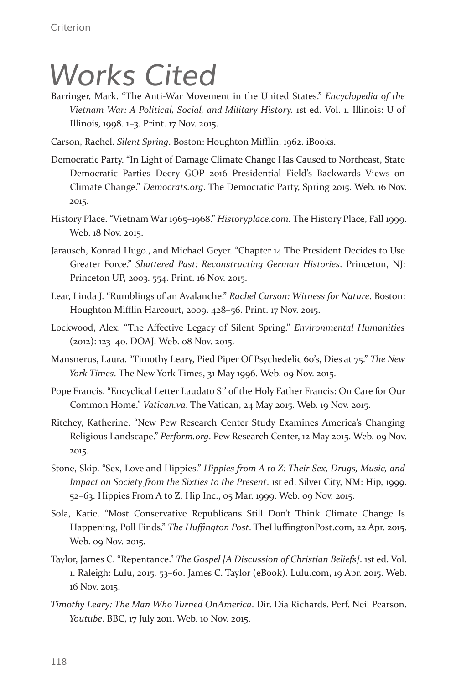# *Works Cited*

Barringer, Mark. "The Anti-War Movement in the United States." *Encyclopedia of the Vietnam War: A Political, Social, and Military History.* 1st ed. Vol. 1. Illinois: U of Illinois, 1998. 1–3. Print. 17 Nov. 2015.

Carson, Rachel. *Silent Spring*. Boston: Houghton Mifflin, 1962. iBooks.

- Democratic Party. "In Light of Damage Climate Change Has Caused to Northeast, State Democratic Parties Decry GOP 2016 Presidential Field's Backwards Views on Climate Change." *Democrats.org*. The Democratic Party, Spring 2015. Web. 16 Nov. 2015.
- History Place. "Vietnam War 1965–1968." *Historyplace.com*. The History Place, Fall 1999. Web. 18 Nov. 2015.
- Jarausch, Konrad Hugo., and Michael Geyer. "Chapter 14 The President Decides to Use Greater Force." *Shattered Past: Reconstructing German Histories*. Princeton, NJ: Princeton UP, 2003. 554. Print. 16 Nov. 2015.
- Lear, Linda J. "Rumblings of an Avalanche." *Rachel Carson: Witness for Nature*. Boston: Houghton Mifflin Harcourt, 2009. 428–56. Print. 17 Nov. 2015.
- Lockwood, Alex. "The Affective Legacy of Silent Spring." *Environmental Humanities*  (2012): 123–40. DOAJ. Web. 08 Nov. 2015.
- Mansnerus, Laura. "Timothy Leary, Pied Piper Of Psychedelic 60's, Dies at 75." *The New York Times*. The New York Times, 31 May 1996. Web. 09 Nov. 2015.
- Pope Francis. "Encyclical Letter Laudato Si' of the Holy Father Francis: On Care for Our Common Home." *Vatican.va*. The Vatican, 24 May 2015. Web. 19 Nov. 2015.
- Ritchey, Katherine. "New Pew Research Center Study Examines America's Changing Religious Landscape." *Perform.org*. Pew Research Center, 12 May 2015. Web. 09 Nov. 2015.
- Stone, Skip. "Sex, Love and Hippies." *Hippies from A to Z: Their Sex, Drugs, Music, and Impact on Society from the Sixties to the Present*. 1st ed. Silver City, NM: Hip, 1999. 52–63. Hippies From A to Z. Hip Inc., 05 Mar. 1999. Web. 09 Nov. 2015.
- Sola, Katie. "Most Conservative Republicans Still Don't Think Climate Change Is Happening, Poll Finds." *The Huffington Post*. TheHuffingtonPost.com, 22 Apr. 2015. Web. 09 Nov. 2015.
- Taylor, James C. "Repentance." *The Gospel [A Discussion of Christian Beliefs]*. 1st ed. Vol. 1. Raleigh: Lulu, 2015. 53–60. James C. Taylor (eBook). Lulu.com, 19 Apr. 2015. Web. 16 Nov. 2015.
- *Timothy Leary: The Man Who Turned OnAmerica*. Dir. Dia Richards. Perf. Neil Pearson. *Youtube*. BBC, 17 July 2011. Web. 10 Nov. 2015.